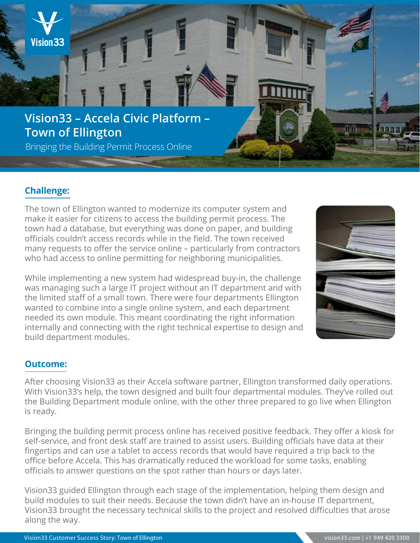

# **Challenge:**

The town of Ellington wanted to modernize its computer system and make it easier for citizens to access the building permit process. The town had a database, but everything was done on paper, and building officials couldn't access records while in the field. The town received many requests to offer the service online – particularly from contractors who had access to online permitting for neighboring municipalities.

While implementing a new system had widespread buy-in, the challenge was managing such a large IT project without an IT department and with the limited staff of a small town. There were four departments Ellington wanted to combine into a single online system, and each department needed its own module. This meant coordinating the right information internally and connecting with the right technical expertise to design and build department modules.



## **Outcome:**

After choosing Vision33 as their Accela software partner, Ellington transformed daily operations. With Vision33's help, the town designed and built four departmental modules. They've rolled out the Building Department module online, with the other three prepared to go live when Ellington is ready.

Bringing the building permit process online has received positive feedback. They offer a kiosk for self-service, and front desk staff are trained to assist users. Building officials have data at their fingertips and can use a tablet to access records that would have required a trip back to the office before Accela. This has dramatically reduced the workload for some tasks, enabling officials to answer questions on the spot rather than hours or days later.

Vision33 guided Ellington through each stage of the implementation, helping them design and build modules to suit their needs. Because the town didn't have an in-house IT department, Vision33 brought the necessary technical skills to the project and resolved difficulties that arose along the way.